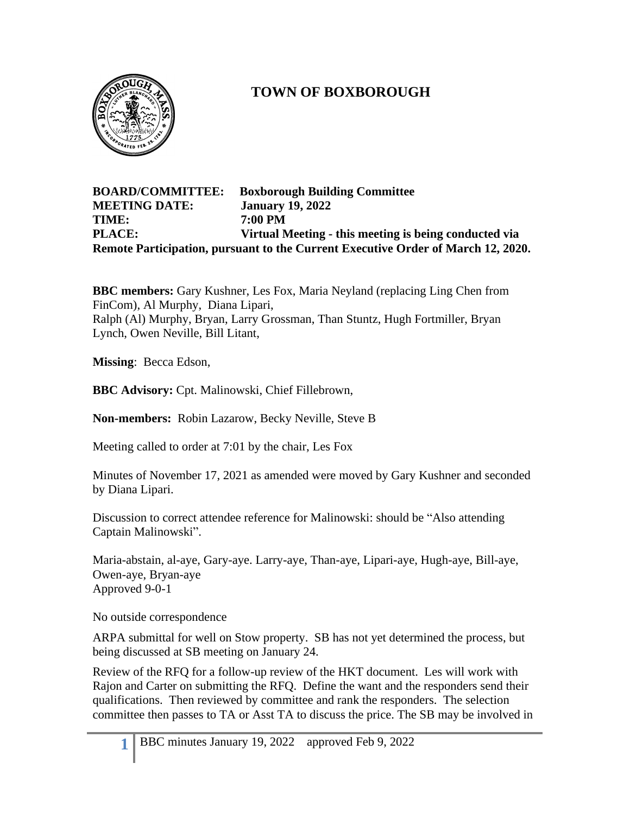

## **TOWN OF BOXBOROUGH**

## **BOARD/COMMITTEE: Boxborough Building Committee MEETING DATE: January 19, 2022 TIME: 7:00 PM PLACE: Virtual Meeting - this meeting is being conducted via Remote Participation, pursuant to the Current Executive Order of March 12, 2020.**

**BBC members:** Gary Kushner, Les Fox, Maria Neyland (replacing Ling Chen from FinCom), Al Murphy, Diana Lipari, Ralph (Al) Murphy, Bryan, Larry Grossman, Than Stuntz, Hugh Fortmiller, Bryan Lynch, Owen Neville, Bill Litant,

**Missing**: Becca Edson,

**BBC Advisory:** Cpt. Malinowski, Chief Fillebrown,

**Non-members:** Robin Lazarow, Becky Neville, Steve B

Meeting called to order at 7:01 by the chair, Les Fox

Minutes of November 17, 2021 as amended were moved by Gary Kushner and seconded by Diana Lipari.

Discussion to correct attendee reference for Malinowski: should be "Also attending Captain Malinowski".

Maria-abstain, al-aye, Gary-aye. Larry-aye, Than-aye, Lipari-aye, Hugh-aye, Bill-aye, Owen-aye, Bryan-aye Approved 9-0-1

No outside correspondence

ARPA submittal for well on Stow property. SB has not yet determined the process, but being discussed at SB meeting on January 24.

Review of the RFQ for a follow-up review of the HKT document. Les will work with Rajon and Carter on submitting the RFQ. Define the want and the responders send their qualifications. Then reviewed by committee and rank the responders. The selection committee then passes to TA or Asst TA to discuss the price. The SB may be involved in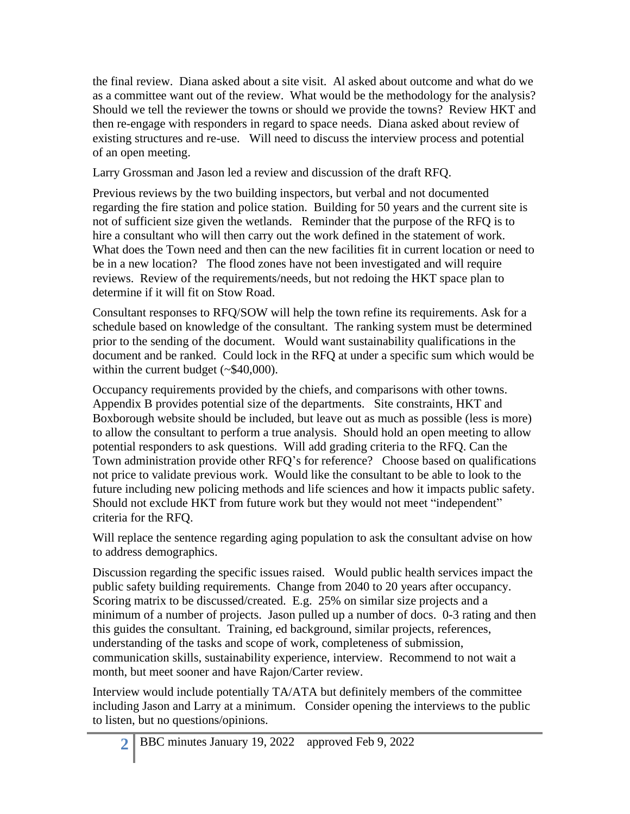the final review. Diana asked about a site visit. Al asked about outcome and what do we as a committee want out of the review. What would be the methodology for the analysis? Should we tell the reviewer the towns or should we provide the towns? Review HKT and then re-engage with responders in regard to space needs. Diana asked about review of existing structures and re-use. Will need to discuss the interview process and potential of an open meeting.

Larry Grossman and Jason led a review and discussion of the draft RFQ.

Previous reviews by the two building inspectors, but verbal and not documented regarding the fire station and police station. Building for 50 years and the current site is not of sufficient size given the wetlands. Reminder that the purpose of the RFQ is to hire a consultant who will then carry out the work defined in the statement of work. What does the Town need and then can the new facilities fit in current location or need to be in a new location? The flood zones have not been investigated and will require reviews. Review of the requirements/needs, but not redoing the HKT space plan to determine if it will fit on Stow Road.

Consultant responses to RFQ/SOW will help the town refine its requirements. Ask for a schedule based on knowledge of the consultant. The ranking system must be determined prior to the sending of the document. Would want sustainability qualifications in the document and be ranked. Could lock in the RFQ at under a specific sum which would be within the current budget (~\$40,000).

Occupancy requirements provided by the chiefs, and comparisons with other towns. Appendix B provides potential size of the departments. Site constraints, HKT and Boxborough website should be included, but leave out as much as possible (less is more) to allow the consultant to perform a true analysis. Should hold an open meeting to allow potential responders to ask questions. Will add grading criteria to the RFQ. Can the Town administration provide other RFQ's for reference? Choose based on qualifications not price to validate previous work. Would like the consultant to be able to look to the future including new policing methods and life sciences and how it impacts public safety. Should not exclude HKT from future work but they would not meet "independent" criteria for the RFQ.

Will replace the sentence regarding aging population to ask the consultant advise on how to address demographics.

Discussion regarding the specific issues raised. Would public health services impact the public safety building requirements. Change from 2040 to 20 years after occupancy. Scoring matrix to be discussed/created. E.g. 25% on similar size projects and a minimum of a number of projects. Jason pulled up a number of docs. 0-3 rating and then this guides the consultant. Training, ed background, similar projects, references, understanding of the tasks and scope of work, completeness of submission, communication skills, sustainability experience, interview. Recommend to not wait a month, but meet sooner and have Rajon/Carter review.

Interview would include potentially TA/ATA but definitely members of the committee including Jason and Larry at a minimum. Consider opening the interviews to the public to listen, but no questions/opinions.